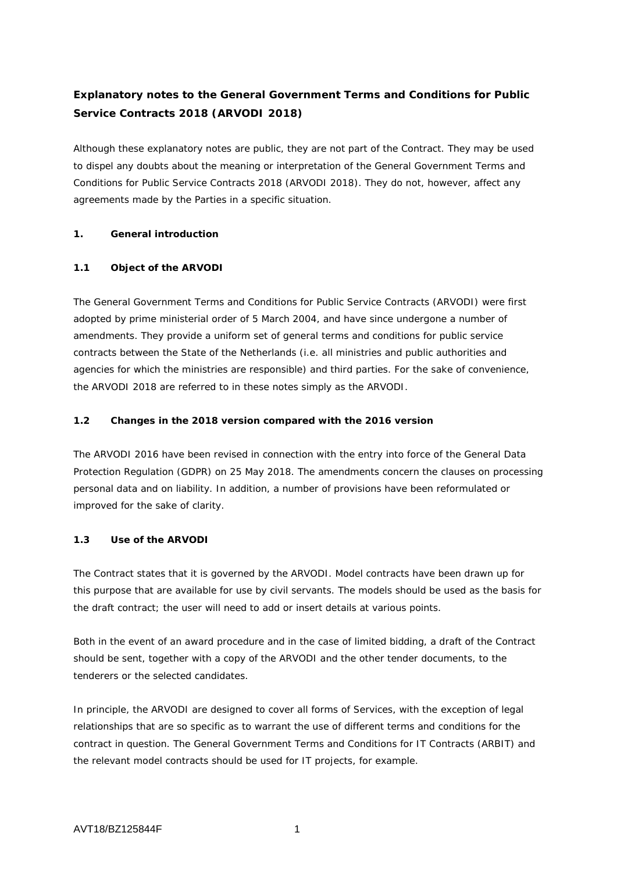# **Explanatory notes to the General Government Terms and Conditions for Public Service Contracts 2018 (ARVODI 2018)**

Although these explanatory notes are public, they are not part of the Contract. They may be used to dispel any doubts about the meaning or interpretation of the General Government Terms and Conditions for Public Service Contracts 2018 (ARVODI 2018). They do not, however, affect any agreements made by the Parties in a specific situation.

### **1. General introduction**

# **1.1 Object of the ARVODI**

The General Government Terms and Conditions for Public Service Contracts (ARVODI) were first adopted by prime ministerial order of 5 March 2004, and have since undergone a number of amendments. They provide a uniform set of general terms and conditions for public service contracts between the State of the Netherlands (i.e. all ministries and public authorities and agencies for which the ministries are responsible) and third parties. For the sake of convenience, the ARVODI 2018 are referred to in these notes simply as the ARVODI.

### **1.2 Changes in the 2018 version compared with the 2016 version**

The ARVODI 2016 have been revised in connection with the entry into force of the General Data Protection Regulation (GDPR) on 25 May 2018. The amendments concern the clauses on processing personal data and on liability. In addition, a number of provisions have been reformulated or improved for the sake of clarity.

# **1.3 Use of the ARVODI**

The Contract states that it is governed by the ARVODI. Model contracts have been drawn up for this purpose that are available for use by civil servants. The models should be used as the basis for the draft contract; the user will need to add or insert details at various points.

Both in the event of an award procedure and in the case of limited bidding, a draft of the Contract should be sent, together with a copy of the ARVODI and the other tender documents, to the tenderers or the selected candidates.

In principle, the ARVODI are designed to cover all forms of Services, with the exception of legal relationships that are so specific as to warrant the use of different terms and conditions for the contract in question. The General Government Terms and Conditions for IT Contracts (ARBIT) and the relevant model contracts should be used for IT projects, for example.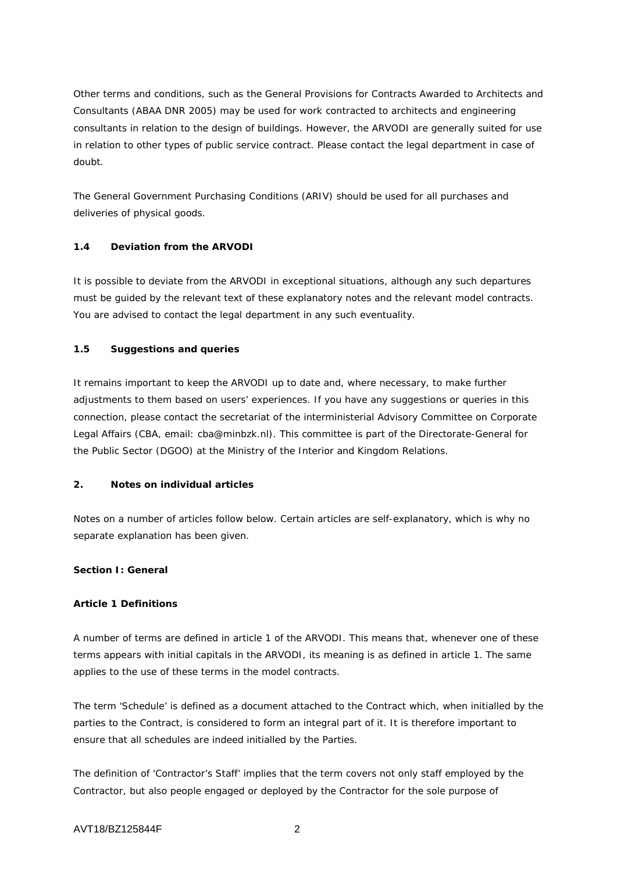Other terms and conditions, such as the General Provisions for Contracts Awarded to Architects and Consultants (ABAA DNR 2005) may be used for work contracted to architects and engineering consultants in relation to the design of buildings. However, the ARVODI are generally suited for use in relation to other types of public service contract. Please contact the legal department in case of doubt.

The General Government Purchasing Conditions (ARIV) should be used for all purchases and deliveries of physical goods.

# **1.4 Deviation from the ARVODI**

It is possible to deviate from the ARVODI in exceptional situations, although any such departures must be guided by the relevant text of these explanatory notes and the relevant model contracts. You are advised to contact the legal department in any such eventuality.

# **1.5 Suggestions and queries**

It remains important to keep the ARVODI up to date and, where necessary, to make further adjustments to them based on users' experiences. If you have any suggestions or queries in this connection, please contact the secretariat of the interministerial Advisory Committee on Corporate Legal Affairs (CBA, email: cba@minbzk.nl). This committee is part of the Directorate-General for the Public Sector (DGOO) at the Ministry of the Interior and Kingdom Relations.

# **2. Notes on individual articles**

Notes on a number of articles follow below. Certain articles are self-explanatory, which is why no separate explanation has been given.

# **Section I: General**

# **Article 1 Definitions**

A number of terms are defined in article 1 of the ARVODI. This means that, whenever one of these terms appears with initial capitals in the ARVODI, its meaning is as defined in article 1. The same applies to the use of these terms in the model contracts.

The term 'Schedule' is defined as a document attached to the Contract which, when initialled by the parties to the Contract, is considered to form an integral part of it. It is therefore important to ensure that all schedules are indeed initialled by the Parties.

The definition of 'Contractor's Staff' implies that the term covers not only staff employed by the Contractor, but also people engaged or deployed by the Contractor for the sole purpose of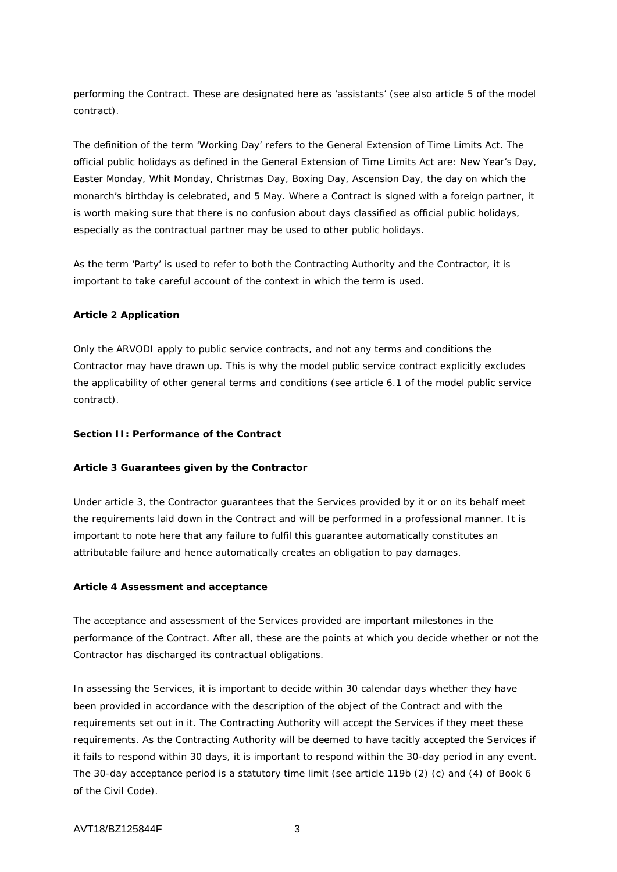performing the Contract. These are designated here as 'assistants' (see also article 5 of the model contract).

The definition of the term 'Working Day' refers to the General Extension of Time Limits Act. The official public holidays as defined in the General Extension of Time Limits Act are: New Year's Day, Easter Monday, Whit Monday, Christmas Day, Boxing Day, Ascension Day, the day on which the monarch's birthday is celebrated, and 5 May. Where a Contract is signed with a foreign partner, it is worth making sure that there is no confusion about days classified as official public holidays, especially as the contractual partner may be used to other public holidays.

As the term 'Party' is used to refer to both the Contracting Authority and the Contractor, it is important to take careful account of the context in which the term is used.

### **Article 2 Application**

Only the ARVODI apply to public service contracts, and not any terms and conditions the Contractor may have drawn up. This is why the model public service contract explicitly excludes the applicability of other general terms and conditions (see article 6.1 of the model public service contract).

#### **Section II: Performance of the Contract**

#### **Article 3 Guarantees given by the Contractor**

Under article 3, the Contractor guarantees that the Services provided by it or on its behalf meet the requirements laid down in the Contract and will be performed in a professional manner. It is important to note here that any failure to fulfil this guarantee automatically constitutes an attributable failure and hence automatically creates an obligation to pay damages.

#### **Article 4 Assessment and acceptance**

The acceptance and assessment of the Services provided are important milestones in the performance of the Contract. After all, these are the points at which you decide whether or not the Contractor has discharged its contractual obligations.

In assessing the Services, it is important to decide within 30 calendar days whether they have been provided in accordance with the description of the object of the Contract and with the requirements set out in it. The Contracting Authority will accept the Services if they meet these requirements. As the Contracting Authority will be deemed to have tacitly accepted the Services if it fails to respond within 30 days, it is important to respond within the 30-day period in any event. The 30-day acceptance period is a statutory time limit (see article 119b (2) (c) and (4) of Book 6 of the Civil Code).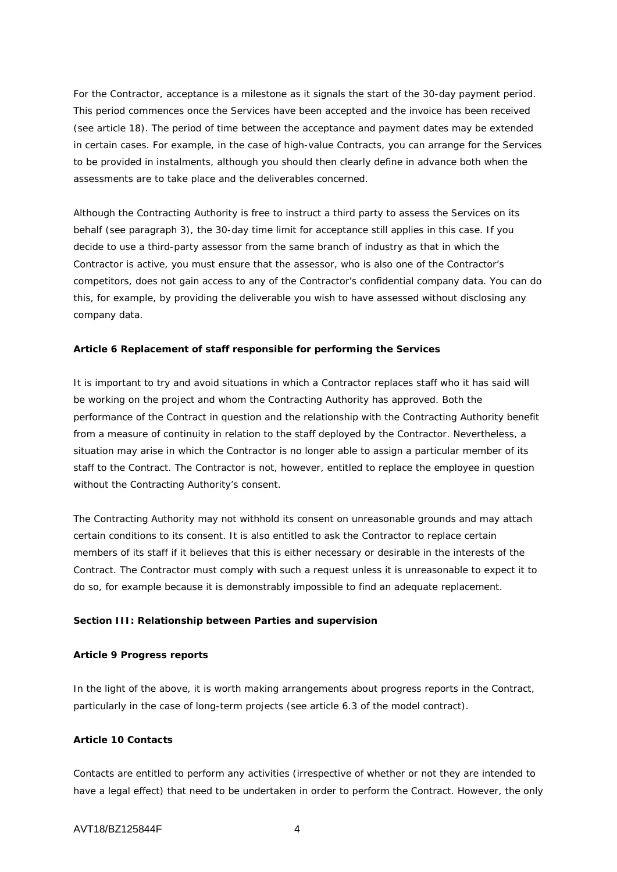For the Contractor, acceptance is a milestone as it signals the start of the 30-day payment period. This period commences once the Services have been accepted and the invoice has been received (see article 18). The period of time between the acceptance and payment dates may be extended in certain cases. For example, in the case of high-value Contracts, you can arrange for the Services to be provided in instalments, although you should then clearly define in advance both when the assessments are to take place and the deliverables concerned.

Although the Contracting Authority is free to instruct a third party to assess the Services on its behalf (see paragraph 3), the 30-day time limit for acceptance still applies in this case. If you decide to use a third-party assessor from the same branch of industry as that in which the Contractor is active, you must ensure that the assessor, who is also one of the Contractor's competitors, does not gain access to any of the Contractor's confidential company data. You can do this, for example, by providing the deliverable you wish to have assessed without disclosing any company data.

### **Article 6 Replacement of staff responsible for performing the Services**

It is important to try and avoid situations in which a Contractor replaces staff who it has said will be working on the project and whom the Contracting Authority has approved. Both the performance of the Contract in question and the relationship with the Contracting Authority benefit from a measure of continuity in relation to the staff deployed by the Contractor. Nevertheless, a situation may arise in which the Contractor is no longer able to assign a particular member of its staff to the Contract. The Contractor is not, however, entitled to replace the employee in question without the Contracting Authority's consent.

The Contracting Authority may not withhold its consent on unreasonable grounds and may attach certain conditions to its consent. It is also entitled to ask the Contractor to replace certain members of its staff if it believes that this is either necessary or desirable in the interests of the Contract. The Contractor must comply with such a request unless it is unreasonable to expect it to do so, for example because it is demonstrably impossible to find an adequate replacement.

#### **Section III: Relationship between Parties and supervision**

#### **Article 9 Progress reports**

In the light of the above, it is worth making arrangements about progress reports in the Contract, particularly in the case of long-term projects (see article 6.3 of the model contract).

### **Article 10 Contacts**

Contacts are entitled to perform any activities (irrespective of whether or not they are intended to have a legal effect) that need to be undertaken in order to perform the Contract. However, the only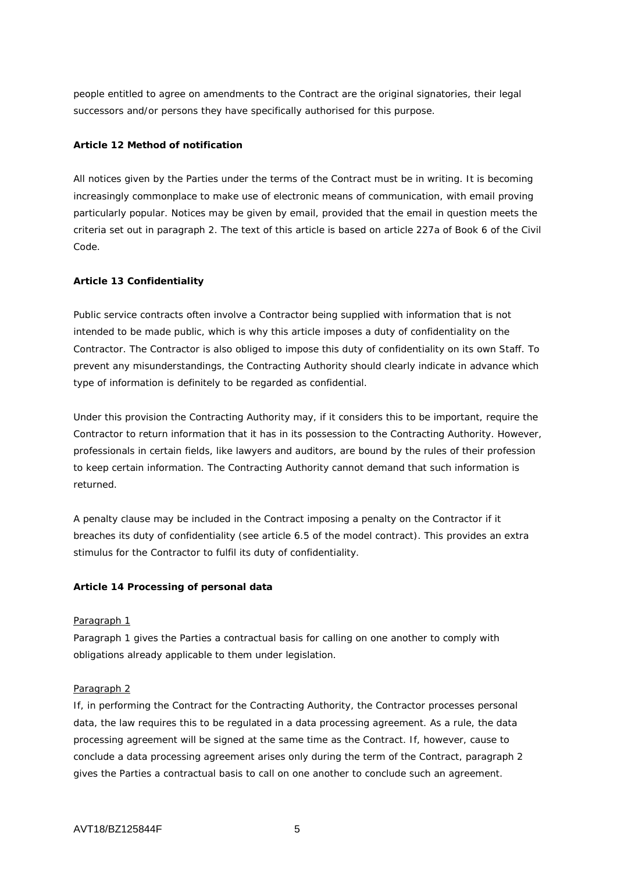people entitled to agree on amendments to the Contract are the original signatories, their legal successors and/or persons they have specifically authorised for this purpose.

### **Article 12 Method of notification**

All notices given by the Parties under the terms of the Contract must be in writing. It is becoming increasingly commonplace to make use of electronic means of communication, with email proving particularly popular. Notices may be given by email, provided that the email in question meets the criteria set out in paragraph 2. The text of this article is based on article 227a of Book 6 of the Civil Code.

### **Article 13 Confidentiality**

Public service contracts often involve a Contractor being supplied with information that is not intended to be made public, which is why this article imposes a duty of confidentiality on the Contractor. The Contractor is also obliged to impose this duty of confidentiality on its own Staff. To prevent any misunderstandings, the Contracting Authority should clearly indicate in advance which type of information is definitely to be regarded as confidential.

Under this provision the Contracting Authority may, if it considers this to be important, require the Contractor to return information that it has in its possession to the Contracting Authority. However, professionals in certain fields, like lawyers and auditors, are bound by the rules of their profession to keep certain information. The Contracting Authority cannot demand that such information is returned.

A penalty clause may be included in the Contract imposing a penalty on the Contractor if it breaches its duty of confidentiality (see article 6.5 of the model contract). This provides an extra stimulus for the Contractor to fulfil its duty of confidentiality.

### **Article 14 Processing of personal data**

### Paragraph 1

Paragraph 1 gives the Parties a contractual basis for calling on one another to comply with obligations already applicable to them under legislation.

### Paragraph 2

If, in performing the Contract for the Contracting Authority, the Contractor processes personal data, the law requires this to be regulated in a data processing agreement. As a rule, the data processing agreement will be signed at the same time as the Contract. If, however, cause to conclude a data processing agreement arises only during the term of the Contract, paragraph 2 gives the Parties a contractual basis to call on one another to conclude such an agreement.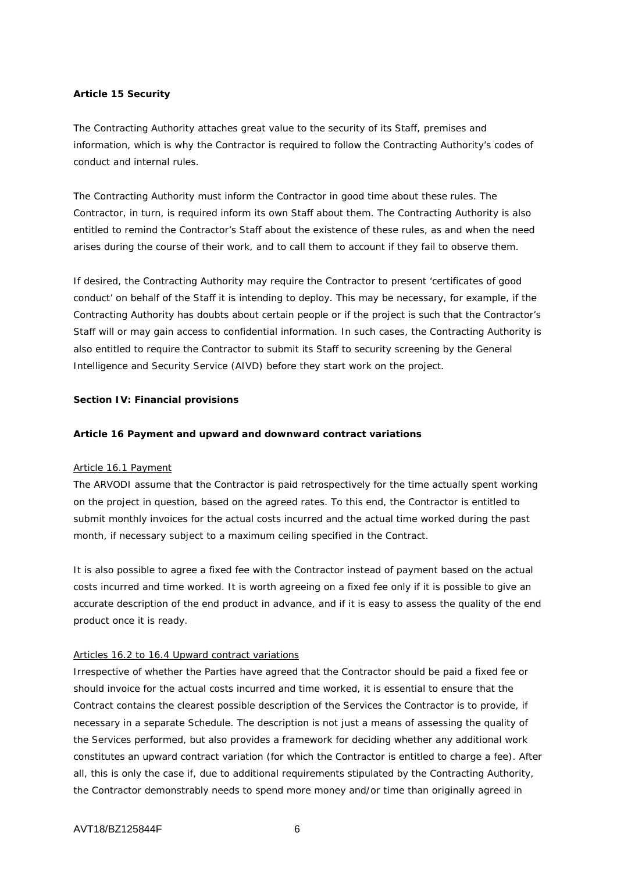### **Article 15 Security**

The Contracting Authority attaches great value to the security of its Staff, premises and information, which is why the Contractor is required to follow the Contracting Authority's codes of conduct and internal rules.

The Contracting Authority must inform the Contractor in good time about these rules. The Contractor, in turn, is required inform its own Staff about them. The Contracting Authority is also entitled to remind the Contractor's Staff about the existence of these rules, as and when the need arises during the course of their work, and to call them to account if they fail to observe them.

If desired, the Contracting Authority may require the Contractor to present 'certificates of good conduct' on behalf of the Staff it is intending to deploy. This may be necessary, for example, if the Contracting Authority has doubts about certain people or if the project is such that the Contractor's Staff will or may gain access to confidential information. In such cases, the Contracting Authority is also entitled to require the Contractor to submit its Staff to security screening by the General Intelligence and Security Service (AIVD) before they start work on the project.

### **Section IV: Financial provisions**

### **Article 16 Payment and upward and downward contract variations**

### Article 16.1 Payment

The ARVODI assume that the Contractor is paid retrospectively for the time actually spent working on the project in question, based on the agreed rates. To this end, the Contractor is entitled to submit monthly invoices for the actual costs incurred and the actual time worked during the past month, if necessary subject to a maximum ceiling specified in the Contract.

It is also possible to agree a fixed fee with the Contractor instead of payment based on the actual costs incurred and time worked. It is worth agreeing on a fixed fee only if it is possible to give an accurate description of the end product in advance, and if it is easy to assess the quality of the end product once it is ready.

### Articles 16.2 to 16.4 Upward contract variations

Irrespective of whether the Parties have agreed that the Contractor should be paid a fixed fee or should invoice for the actual costs incurred and time worked, it is essential to ensure that the Contract contains the clearest possible description of the Services the Contractor is to provide, if necessary in a separate Schedule. The description is not just a means of assessing the quality of the Services performed, but also provides a framework for deciding whether any additional work constitutes an upward contract variation (for which the Contractor is entitled to charge a fee). After all, this is only the case if, due to additional requirements stipulated by the Contracting Authority, the Contractor demonstrably needs to spend more money and/or time than originally agreed in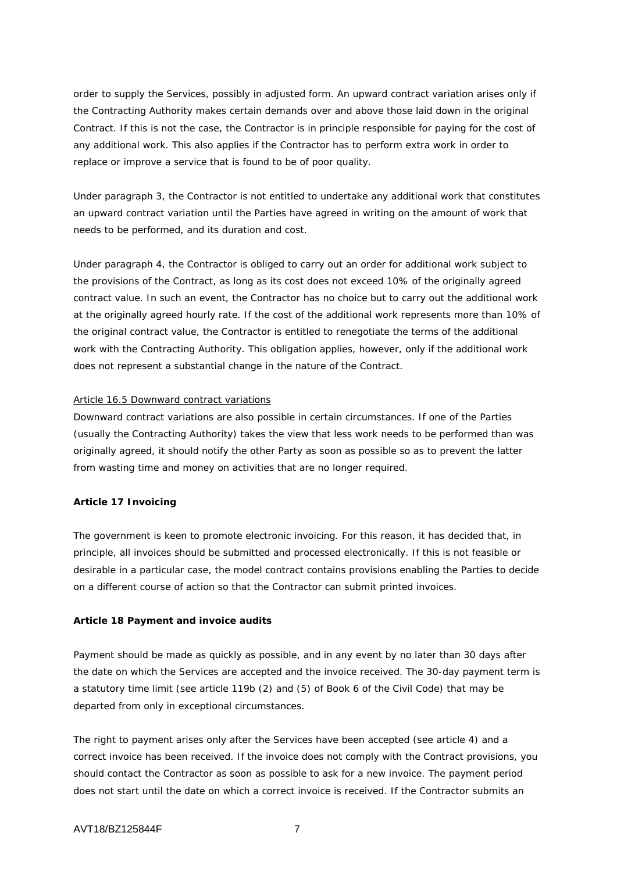order to supply the Services, possibly in adjusted form. An upward contract variation arises only if the Contracting Authority makes certain demands over and above those laid down in the original Contract. If this is not the case, the Contractor is in principle responsible for paying for the cost of any additional work. This also applies if the Contractor has to perform extra work in order to replace or improve a service that is found to be of poor quality.

Under paragraph 3, the Contractor is not entitled to undertake any additional work that constitutes an upward contract variation until the Parties have agreed in writing on the amount of work that needs to be performed, and its duration and cost.

Under paragraph 4, the Contractor is obliged to carry out an order for additional work subject to the provisions of the Contract, as long as its cost does not exceed 10% of the originally agreed contract value. In such an event, the Contractor has no choice but to carry out the additional work at the originally agreed hourly rate. If the cost of the additional work represents more than 10% of the original contract value, the Contractor is entitled to renegotiate the terms of the additional work with the Contracting Authority. This obligation applies, however, only if the additional work does not represent a substantial change in the nature of the Contract.

### Article 16.5 Downward contract variations

Downward contract variations are also possible in certain circumstances. If one of the Parties (usually the Contracting Authority) takes the view that less work needs to be performed than was originally agreed, it should notify the other Party as soon as possible so as to prevent the latter from wasting time and money on activities that are no longer required.

### **Article 17 Invoicing**

The government is keen to promote electronic invoicing. For this reason, it has decided that, in principle, all invoices should be submitted and processed electronically. If this is not feasible or desirable in a particular case, the model contract contains provisions enabling the Parties to decide on a different course of action so that the Contractor can submit printed invoices.

#### **Article 18 Payment and invoice audits**

Payment should be made as quickly as possible, and in any event by no later than 30 days after the date on which the Services are accepted and the invoice received. The 30-day payment term is a statutory time limit (see article 119b (2) and (5) of Book 6 of the Civil Code) that may be departed from only in exceptional circumstances.

The right to payment arises only after the Services have been accepted (see article 4) and a correct invoice has been received. If the invoice does not comply with the Contract provisions, you should contact the Contractor as soon as possible to ask for a new invoice. The payment period does not start until the date on which a correct invoice is received. If the Contractor submits an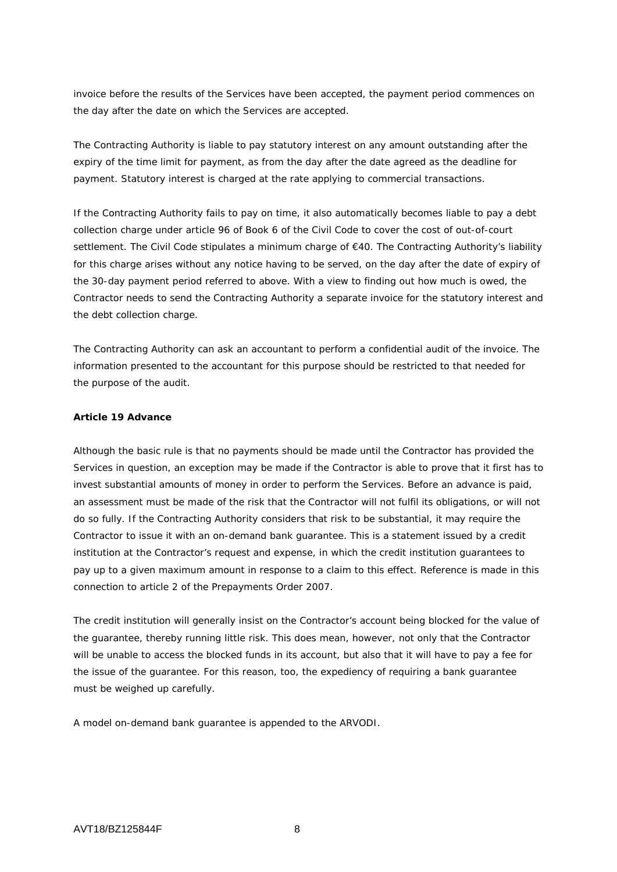invoice before the results of the Services have been accepted, the payment period commences on the day after the date on which the Services are accepted.

The Contracting Authority is liable to pay statutory interest on any amount outstanding after the expiry of the time limit for payment, as from the day after the date agreed as the deadline for payment. Statutory interest is charged at the rate applying to commercial transactions.

If the Contracting Authority fails to pay on time, it also automatically becomes liable to pay a debt collection charge under article 96 of Book 6 of the Civil Code to cover the cost of out-of-court settlement. The Civil Code stipulates a minimum charge of €40. The Contracting Authority's liability for this charge arises without any notice having to be served, on the day after the date of expiry of the 30-day payment period referred to above. With a view to finding out how much is owed, the Contractor needs to send the Contracting Authority a separate invoice for the statutory interest and the debt collection charge.

The Contracting Authority can ask an accountant to perform a confidential audit of the invoice. The information presented to the accountant for this purpose should be restricted to that needed for the purpose of the audit.

### **Article 19 Advance**

Although the basic rule is that no payments should be made until the Contractor has provided the Services in question, an exception may be made if the Contractor is able to prove that it first has to invest substantial amounts of money in order to perform the Services. Before an advance is paid, an assessment must be made of the risk that the Contractor will not fulfil its obligations, or will not do so fully. If the Contracting Authority considers that risk to be substantial, it may require the Contractor to issue it with an on-demand bank guarantee. This is a statement issued by a credit institution at the Contractor's request and expense, in which the credit institution guarantees to pay up to a given maximum amount in response to a claim to this effect. Reference is made in this connection to article 2 of the Prepayments Order 2007.

The credit institution will generally insist on the Contractor's account being blocked for the value of the guarantee, thereby running little risk. This does mean, however, not only that the Contractor will be unable to access the blocked funds in its account, but also that it will have to pay a fee for the issue of the guarantee. For this reason, too, the expediency of requiring a bank guarantee must be weighed up carefully.

A model on-demand bank guarantee is appended to the ARVODI.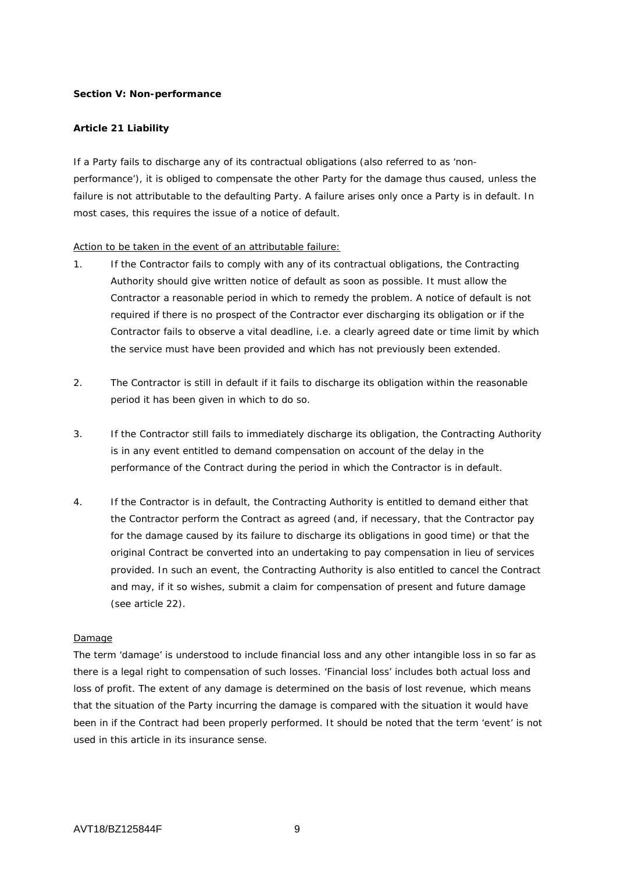### **Section V: Non-performance**

### **Article 21 Liability**

If a Party fails to discharge any of its contractual obligations (also referred to as 'nonperformance'), it is obliged to compensate the other Party for the damage thus caused, unless the failure is not attributable to the defaulting Party. A failure arises only once a Party is in default. In most cases, this requires the issue of a notice of default.

### Action to be taken in the event of an attributable failure:

- 1. If the Contractor fails to comply with any of its contractual obligations, the Contracting Authority should give written notice of default as soon as possible. It must allow the Contractor a reasonable period in which to remedy the problem. A notice of default is not required if there is no prospect of the Contractor ever discharging its obligation or if the Contractor fails to observe a vital deadline, i.e. a clearly agreed date or time limit by which the service must have been provided and which has not previously been extended.
- 2. The Contractor is still in default if it fails to discharge its obligation within the reasonable period it has been given in which to do so.
- 3. If the Contractor still fails to immediately discharge its obligation, the Contracting Authority is in any event entitled to demand compensation on account of the delay in the performance of the Contract during the period in which the Contractor is in default.
- 4. If the Contractor is in default, the Contracting Authority is entitled to demand either that the Contractor perform the Contract as agreed (and, if necessary, that the Contractor pay for the damage caused by its failure to discharge its obligations in good time) or that the original Contract be converted into an undertaking to pay compensation in lieu of services provided. In such an event, the Contracting Authority is also entitled to cancel the Contract and may, if it so wishes, submit a claim for compensation of present and future damage (see article 22).

### Damage

The term 'damage' is understood to include financial loss and any other intangible loss in so far as there is a legal right to compensation of such losses. 'Financial loss' includes both actual loss and loss of profit. The extent of any damage is determined on the basis of lost revenue, which means that the situation of the Party incurring the damage is compared with the situation it would have been in if the Contract had been properly performed. It should be noted that the term 'event' is not used in this article in its insurance sense.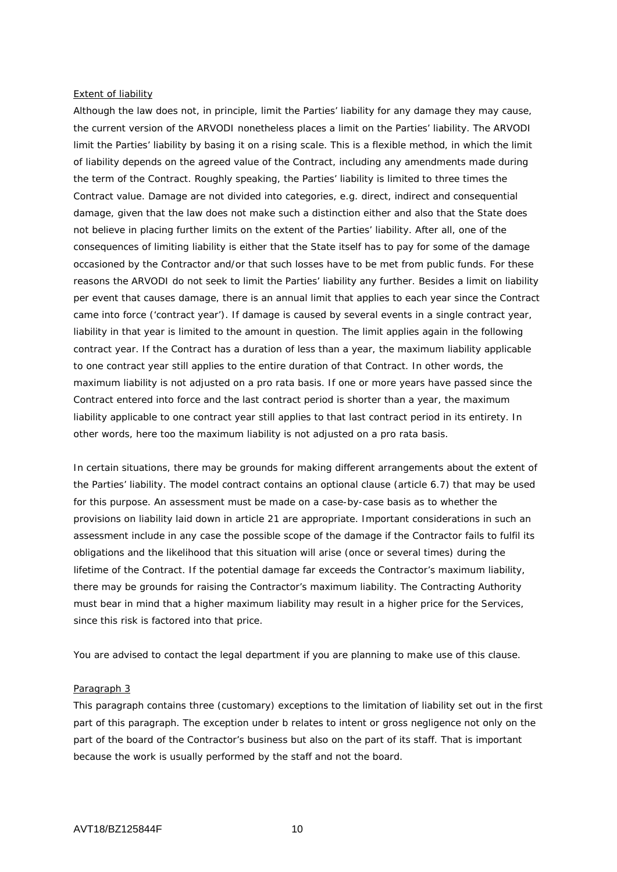#### Extent of liability

Although the law does not, in principle, limit the Parties' liability for any damage they may cause, the current version of the ARVODI nonetheless places a limit on the Parties' liability. The ARVODI limit the Parties' liability by basing it on a rising scale. This is a flexible method, in which the limit of liability depends on the agreed value of the Contract, including any amendments made during the term of the Contract. Roughly speaking, the Parties' liability is limited to three times the Contract value. Damage are not divided into categories, e.g. direct, indirect and consequential damage, given that the law does not make such a distinction either and also that the State does not believe in placing further limits on the extent of the Parties' liability. After all, one of the consequences of limiting liability is either that the State itself has to pay for some of the damage occasioned by the Contractor and/or that such losses have to be met from public funds. For these reasons the ARVODI do not seek to limit the Parties' liability any further. Besides a limit on liability per event that causes damage, there is an annual limit that applies to each year since the Contract came into force ('contract year'). If damage is caused by several events in a single contract year, liability in that year is limited to the amount in question. The limit applies again in the following contract year. If the Contract has a duration of less than a year, the maximum liability applicable to one contract year still applies to the entire duration of that Contract. In other words, the maximum liability is not adjusted on a pro rata basis. If one or more years have passed since the Contract entered into force and the last contract period is shorter than a year, the maximum liability applicable to one contract year still applies to that last contract period in its entirety. In other words, here too the maximum liability is not adjusted on a pro rata basis.

In certain situations, there may be grounds for making different arrangements about the extent of the Parties' liability. The model contract contains an optional clause (article 6.7) that may be used for this purpose. An assessment must be made on a case-by-case basis as to whether the provisions on liability laid down in article 21 are appropriate. Important considerations in such an assessment include in any case the possible scope of the damage if the Contractor fails to fulfil its obligations and the likelihood that this situation will arise (once or several times) during the lifetime of the Contract. If the potential damage far exceeds the Contractor's maximum liability, there may be grounds for raising the Contractor's maximum liability. The Contracting Authority must bear in mind that a higher maximum liability may result in a higher price for the Services, since this risk is factored into that price.

You are advised to contact the legal department if you are planning to make use of this clause.

### Paragraph 3

This paragraph contains three (customary) exceptions to the limitation of liability set out in the first part of this paragraph. The exception under b relates to intent or gross negligence not only on the part of the board of the Contractor's business but also on the part of its staff. That is important because the work is usually performed by the staff and not the board.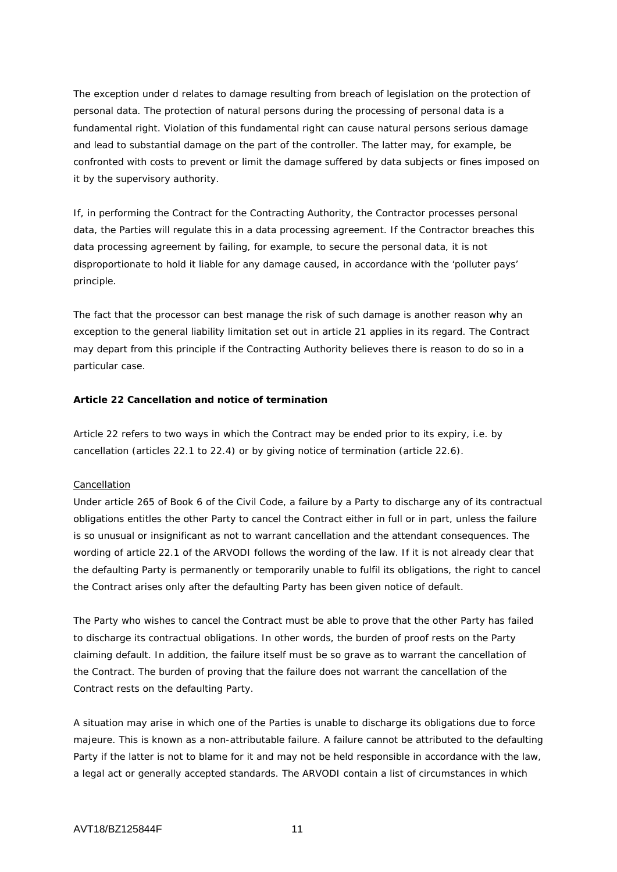The exception under d relates to damage resulting from breach of legislation on the protection of personal data. The protection of natural persons during the processing of personal data is a fundamental right. Violation of this fundamental right can cause natural persons serious damage and lead to substantial damage on the part of the controller. The latter may, for example, be confronted with costs to prevent or limit the damage suffered by data subjects or fines imposed on it by the supervisory authority.

If, in performing the Contract for the Contracting Authority, the Contractor processes personal data, the Parties will regulate this in a data processing agreement. If the Contractor breaches this data processing agreement by failing, for example, to secure the personal data, it is not disproportionate to hold it liable for any damage caused, in accordance with the 'polluter pays' principle.

The fact that the processor can best manage the risk of such damage is another reason why an exception to the general liability limitation set out in article 21 applies in its regard. The Contract may depart from this principle if the Contracting Authority believes there is reason to do so in a particular case.

### **Article 22 Cancellation and notice of termination**

Article 22 refers to two ways in which the Contract may be ended prior to its expiry, i.e. by cancellation (articles 22.1 to 22.4) or by giving notice of termination (article 22.6).

#### **Cancellation**

Under article 265 of Book 6 of the Civil Code, a failure by a Party to discharge any of its contractual obligations entitles the other Party to cancel the Contract either in full or in part, unless the failure is so unusual or insignificant as not to warrant cancellation and the attendant consequences. The wording of article 22.1 of the ARVODI follows the wording of the law. If it is not already clear that the defaulting Party is permanently or temporarily unable to fulfil its obligations, the right to cancel the Contract arises only after the defaulting Party has been given notice of default.

The Party who wishes to cancel the Contract must be able to prove that the other Party has failed to discharge its contractual obligations. In other words, the burden of proof rests on the Party claiming default. In addition, the failure itself must be so grave as to warrant the cancellation of the Contract. The burden of proving that the failure does not warrant the cancellation of the Contract rests on the defaulting Party.

A situation may arise in which one of the Parties is unable to discharge its obligations due to force majeure. This is known as a non-attributable failure. A failure cannot be attributed to the defaulting Party if the latter is not to blame for it and may not be held responsible in accordance with the law, a legal act or generally accepted standards. The ARVODI contain a list of circumstances in which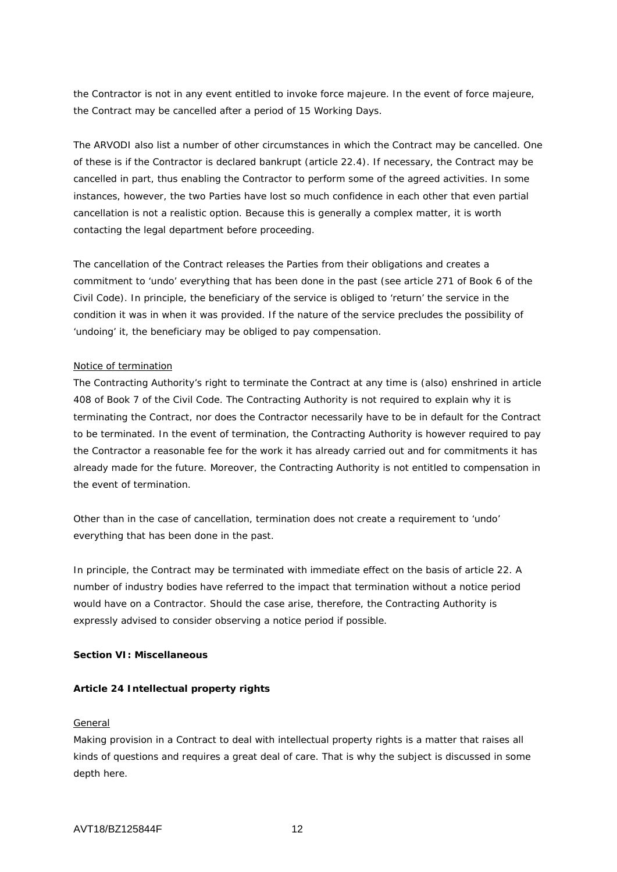the Contractor is not in any event entitled to invoke force majeure. In the event of force majeure, the Contract may be cancelled after a period of 15 Working Days.

The ARVODI also list a number of other circumstances in which the Contract may be cancelled. One of these is if the Contractor is declared bankrupt (article 22.4). If necessary, the Contract may be cancelled in part, thus enabling the Contractor to perform some of the agreed activities. In some instances, however, the two Parties have lost so much confidence in each other that even partial cancellation is not a realistic option. Because this is generally a complex matter, it is worth contacting the legal department before proceeding.

The cancellation of the Contract releases the Parties from their obligations and creates a commitment to 'undo' everything that has been done in the past (see article 271 of Book 6 of the Civil Code). In principle, the beneficiary of the service is obliged to 'return' the service in the condition it was in when it was provided. If the nature of the service precludes the possibility of 'undoing' it, the beneficiary may be obliged to pay compensation.

### Notice of termination

The Contracting Authority's right to terminate the Contract at any time is (also) enshrined in article 408 of Book 7 of the Civil Code. The Contracting Authority is not required to explain why it is terminating the Contract, nor does the Contractor necessarily have to be in default for the Contract to be terminated. In the event of termination, the Contracting Authority is however required to pay the Contractor a reasonable fee for the work it has already carried out and for commitments it has already made for the future. Moreover, the Contracting Authority is not entitled to compensation in the event of termination.

Other than in the case of cancellation, termination does not create a requirement to 'undo' everything that has been done in the past.

In principle, the Contract may be terminated with immediate effect on the basis of article 22. A number of industry bodies have referred to the impact that termination without a notice period would have on a Contractor. Should the case arise, therefore, the Contracting Authority is expressly advised to consider observing a notice period if possible.

### **Section VI: Miscellaneous**

#### **Article 24 Intellectual property rights**

#### General

Making provision in a Contract to deal with intellectual property rights is a matter that raises all kinds of questions and requires a great deal of care. That is why the subject is discussed in some depth here.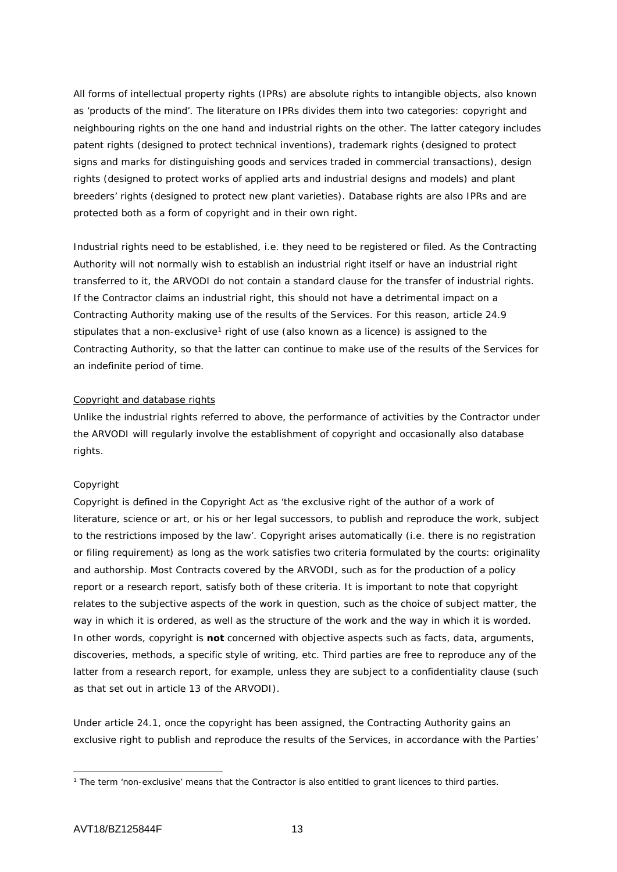All forms of intellectual property rights (IPRs) are absolute rights to intangible objects, also known as 'products of the mind'. The literature on IPRs divides them into two categories: copyright and neighbouring rights on the one hand and industrial rights on the other. The latter category includes patent rights (designed to protect technical inventions), trademark rights (designed to protect signs and marks for distinguishing goods and services traded in commercial transactions), design rights (designed to protect works of applied arts and industrial designs and models) and plant breeders' rights (designed to protect new plant varieties). Database rights are also IPRs and are protected both as a form of copyright and in their own right.

Industrial rights need to be established, i.e. they need to be registered or filed. As the Contracting Authority will not normally wish to establish an industrial right itself or have an industrial right transferred to it, the ARVODI do not contain a standard clause for the transfer of industrial rights. If the Contractor claims an industrial right, this should not have a detrimental impact on a Contracting Authority making use of the results of the Services. For this reason, article 24.9 stipulates that a non-exclusive<sup>[1](#page-12-0)</sup> right of use (also known as a licence) is assigned to the Contracting Authority, so that the latter can continue to make use of the results of the Services for an indefinite period of time.

#### Copyright and database rights

Unlike the industrial rights referred to above, the performance of activities by the Contractor under the ARVODI will regularly involve the establishment of copyright and occasionally also database rights.

#### *Copyright*

Copyright is defined in the Copyright Act as 'the exclusive right of the author of a work of literature, science or art, or his or her legal successors, to publish and reproduce the work, subject to the restrictions imposed by the law'. Copyright arises automatically (i.e. there is no registration or filing requirement) as long as the work satisfies two criteria formulated by the courts: originality and authorship. Most Contracts covered by the ARVODI, such as for the production of a policy report or a research report, satisfy both of these criteria. It is important to note that copyright relates to the subjective aspects of the work in question, such as the choice of subject matter, the way in which it is ordered, as well as the structure of the work and the way in which it is worded. In other words, copyright is **not** concerned with objective aspects such as facts, data, arguments, discoveries, methods, a specific style of writing, etc. Third parties are free to reproduce any of the latter from a research report, for example, unless they are subject to a confidentiality clause (such as that set out in article 13 of the ARVODI).

Under article 24.1, once the copyright has been assigned, the Contracting Authority gains an exclusive right to publish and reproduce the results of the Services, in accordance with the Parties'

<span id="page-12-0"></span><sup>-</sup><sup>1</sup> The term 'non-exclusive' means that the Contractor is also entitled to grant licences to third parties.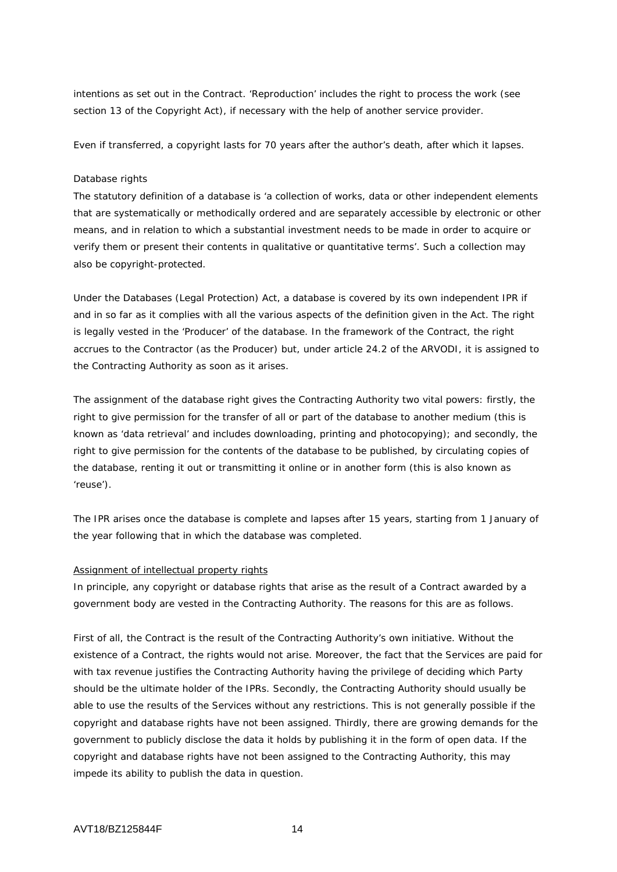intentions as set out in the Contract. 'Reproduction' includes the right to process the work (see section 13 of the Copyright Act), if necessary with the help of another service provider.

Even if transferred, a copyright lasts for 70 years after the author's death, after which it lapses.

### *Database rights*

The statutory definition of a database is 'a collection of works, data or other independent elements that are systematically or methodically ordered and are separately accessible by electronic or other means, and in relation to which a substantial investment needs to be made in order to acquire or verify them or present their contents in qualitative or quantitative terms'. Such a collection may also be copyright-protected.

Under the Databases (Legal Protection) Act, a database is covered by its own independent IPR if and in so far as it complies with all the various aspects of the definition given in the Act. The right is legally vested in the 'Producer' of the database. In the framework of the Contract, the right accrues to the Contractor (as the Producer) but, under article 24.2 of the ARVODI, it is assigned to the Contracting Authority as soon as it arises.

The assignment of the database right gives the Contracting Authority two vital powers: firstly, the right to give permission for the transfer of all or part of the database to another medium (this is known as 'data retrieval' and includes downloading, printing and photocopying); and secondly, the right to give permission for the contents of the database to be published, by circulating copies of the database, renting it out or transmitting it online or in another form (this is also known as 'reuse').

The IPR arises once the database is complete and lapses after 15 years, starting from 1 January of the year following that in which the database was completed.

#### Assignment of intellectual property rights

In principle, any copyright or database rights that arise as the result of a Contract awarded by a government body are vested in the Contracting Authority. The reasons for this are as follows.

First of all, the Contract is the result of the Contracting Authority's own initiative. Without the existence of a Contract, the rights would not arise. Moreover, the fact that the Services are paid for with tax revenue justifies the Contracting Authority having the privilege of deciding which Party should be the ultimate holder of the IPRs. Secondly, the Contracting Authority should usually be able to use the results of the Services without any restrictions. This is not generally possible if the copyright and database rights have not been assigned. Thirdly, there are growing demands for the government to publicly disclose the data it holds by publishing it in the form of open data. If the copyright and database rights have not been assigned to the Contracting Authority, this may impede its ability to publish the data in question.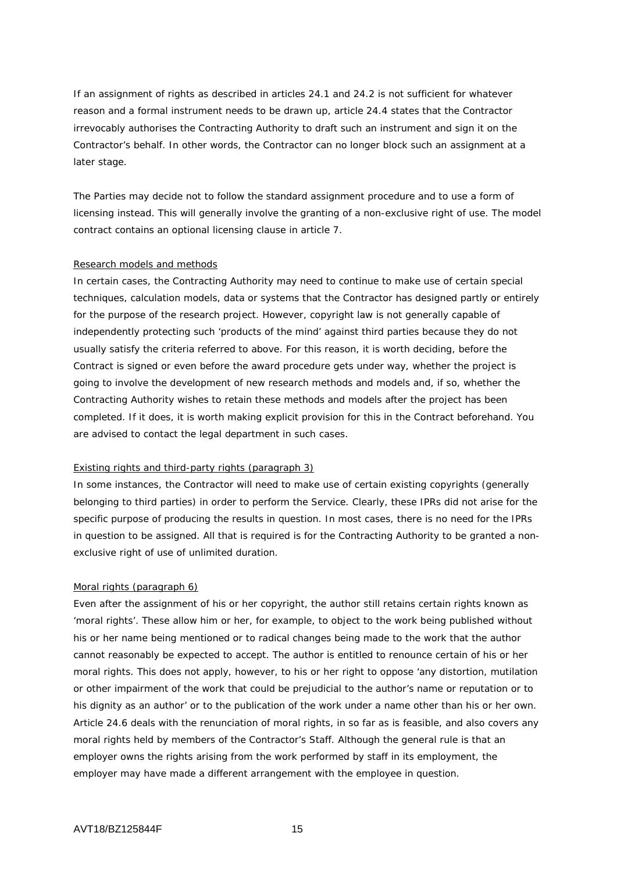If an assignment of rights as described in articles 24.1 and 24.2 is not sufficient for whatever reason and a formal instrument needs to be drawn up, article 24.4 states that the Contractor irrevocably authorises the Contracting Authority to draft such an instrument and sign it on the Contractor's behalf. In other words, the Contractor can no longer block such an assignment at a later stage.

The Parties may decide not to follow the standard assignment procedure and to use a form of licensing instead. This will generally involve the granting of a non-exclusive right of use. The model contract contains an optional licensing clause in article 7.

#### Research models and methods

In certain cases, the Contracting Authority may need to continue to make use of certain special techniques, calculation models, data or systems that the Contractor has designed partly or entirely for the purpose of the research project. However, copyright law is not generally capable of independently protecting such 'products of the mind' against third parties because they do not usually satisfy the criteria referred to above. For this reason, it is worth deciding, before the Contract is signed or even before the award procedure gets under way, whether the project is going to involve the development of new research methods and models and, if so, whether the Contracting Authority wishes to retain these methods and models after the project has been completed. If it does, it is worth making explicit provision for this in the Contract beforehand. You are advised to contact the legal department in such cases.

### Existing rights and third-party rights (paragraph 3)

In some instances, the Contractor will need to make use of certain existing copyrights (generally belonging to third parties) in order to perform the Service. Clearly, these IPRs did not arise for the specific purpose of producing the results in question. In most cases, there is no need for the IPRs in question to be assigned. All that is required is for the Contracting Authority to be granted a nonexclusive right of use of unlimited duration.

#### Moral rights (paragraph 6)

Even after the assignment of his or her copyright, the author still retains certain rights known as 'moral rights'. These allow him or her, for example, to object to the work being published without his or her name being mentioned or to radical changes being made to the work that the author cannot reasonably be expected to accept. The author is entitled to renounce certain of his or her moral rights. This does not apply, however, to his or her right to oppose 'any distortion, mutilation or other impairment of the work that could be prejudicial to the author's name or reputation or to his dignity as an author' or to the publication of the work under a name other than his or her own. Article 24.6 deals with the renunciation of moral rights, in so far as is feasible, and also covers any moral rights held by members of the Contractor's Staff. Although the general rule is that an employer owns the rights arising from the work performed by staff in its employment, the employer may have made a different arrangement with the employee in question.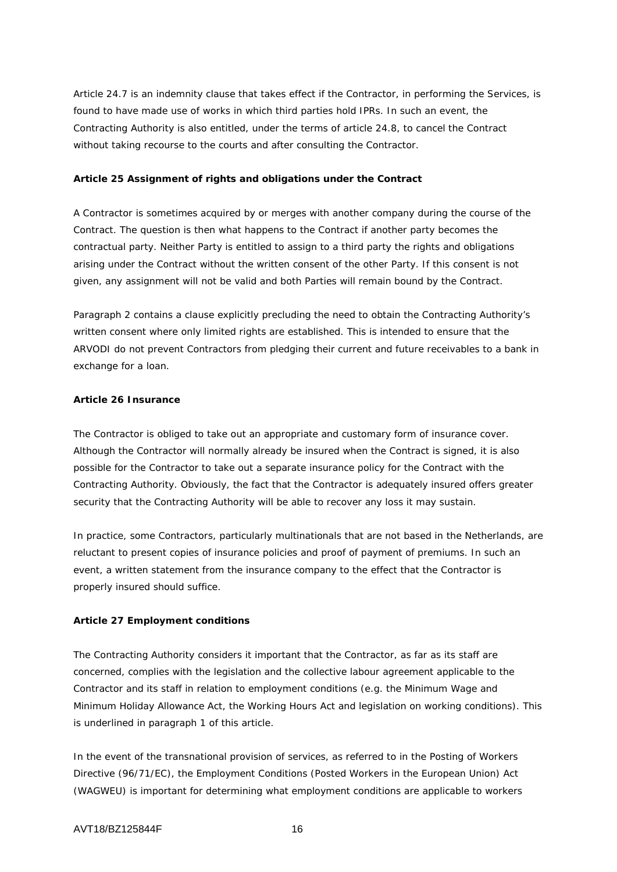Article 24.7 is an indemnity clause that takes effect if the Contractor, in performing the Services, is found to have made use of works in which third parties hold IPRs. In such an event, the Contracting Authority is also entitled, under the terms of article 24.8, to cancel the Contract without taking recourse to the courts and after consulting the Contractor.

### **Article 25 Assignment of rights and obligations under the Contract**

A Contractor is sometimes acquired by or merges with another company during the course of the Contract. The question is then what happens to the Contract if another party becomes the contractual party. Neither Party is entitled to assign to a third party the rights and obligations arising under the Contract without the written consent of the other Party. If this consent is not given, any assignment will not be valid and both Parties will remain bound by the Contract.

Paragraph 2 contains a clause explicitly precluding the need to obtain the Contracting Authority's written consent where only limited rights are established. This is intended to ensure that the ARVODI do not prevent Contractors from pledging their current and future receivables to a bank in exchange for a loan.

### **Article 26 Insurance**

The Contractor is obliged to take out an appropriate and customary form of insurance cover. Although the Contractor will normally already be insured when the Contract is signed, it is also possible for the Contractor to take out a separate insurance policy for the Contract with the Contracting Authority. Obviously, the fact that the Contractor is adequately insured offers greater security that the Contracting Authority will be able to recover any loss it may sustain.

In practice, some Contractors, particularly multinationals that are not based in the Netherlands, are reluctant to present copies of insurance policies and proof of payment of premiums. In such an event, a written statement from the insurance company to the effect that the Contractor is properly insured should suffice.

# **Article 27 Employment conditions**

The Contracting Authority considers it important that the Contractor, as far as its staff are concerned, complies with the legislation and the collective labour agreement applicable to the Contractor and its staff in relation to employment conditions (e.g. the Minimum Wage and Minimum Holiday Allowance Act, the Working Hours Act and legislation on working conditions). This is underlined in paragraph 1 of this article.

In the event of the transnational provision of services, as referred to in the Posting of Workers Directive (96/71/EC), the Employment Conditions (Posted Workers in the European Union) Act (WAGWEU) is important for determining what employment conditions are applicable to workers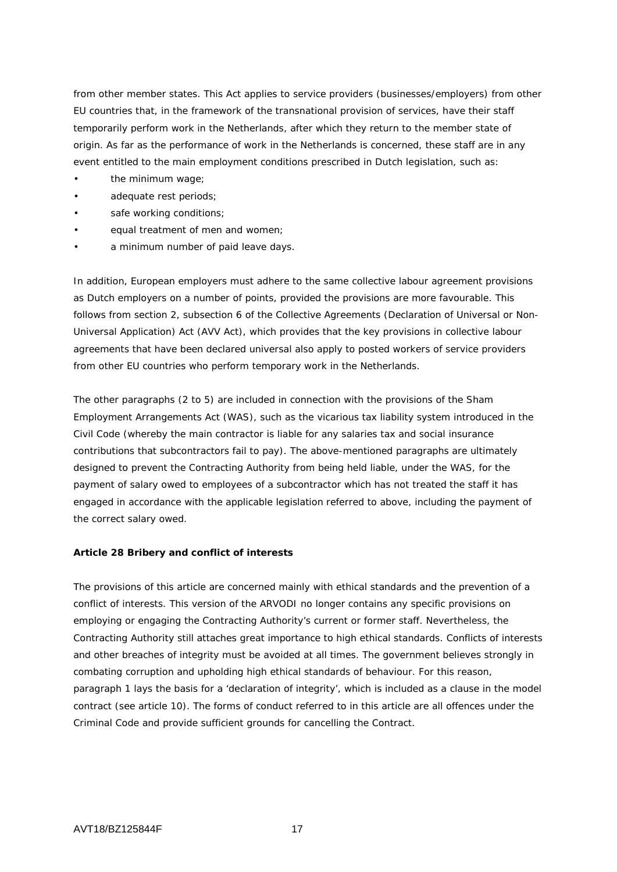from other member states. This Act applies to service providers (businesses/employers) from other EU countries that, in the framework of the transnational provision of services, have their staff temporarily perform work in the Netherlands, after which they return to the member state of origin. As far as the performance of work in the Netherlands is concerned, these staff are in any event entitled to the main employment conditions prescribed in Dutch legislation, such as:

- the minimum wage;
- adequate rest periods;
- safe working conditions;
- equal treatment of men and women;
- a minimum number of paid leave days.

In addition, European employers must adhere to the same collective labour agreement provisions as Dutch employers on a number of points, provided the provisions are more favourable. This follows from section 2, subsection 6 of the Collective Agreements (Declaration of Universal or Non-Universal Application) Act (AVV Act), which provides that the key provisions in collective labour agreements that have been declared universal also apply to posted workers of service providers from other EU countries who perform temporary work in the Netherlands.

The other paragraphs (2 to 5) are included in connection with the provisions of the Sham Employment Arrangements Act (WAS), such as the vicarious tax liability system introduced in the Civil Code (whereby the main contractor is liable for any salaries tax and social insurance contributions that subcontractors fail to pay). The above-mentioned paragraphs are ultimately designed to prevent the Contracting Authority from being held liable, under the WAS, for the payment of salary owed to employees of a subcontractor which has not treated the staff it has engaged in accordance with the applicable legislation referred to above, including the payment of the correct salary owed.

# **Article 28 Bribery and conflict of interests**

The provisions of this article are concerned mainly with ethical standards and the prevention of a conflict of interests. This version of the ARVODI no longer contains any specific provisions on employing or engaging the Contracting Authority's current or former staff. Nevertheless, the Contracting Authority still attaches great importance to high ethical standards. Conflicts of interests and other breaches of integrity must be avoided at all times. The government believes strongly in combating corruption and upholding high ethical standards of behaviour. For this reason, paragraph 1 lays the basis for a 'declaration of integrity', which is included as a clause in the model contract (see article 10). The forms of conduct referred to in this article are all offences under the Criminal Code and provide sufficient grounds for cancelling the Contract.